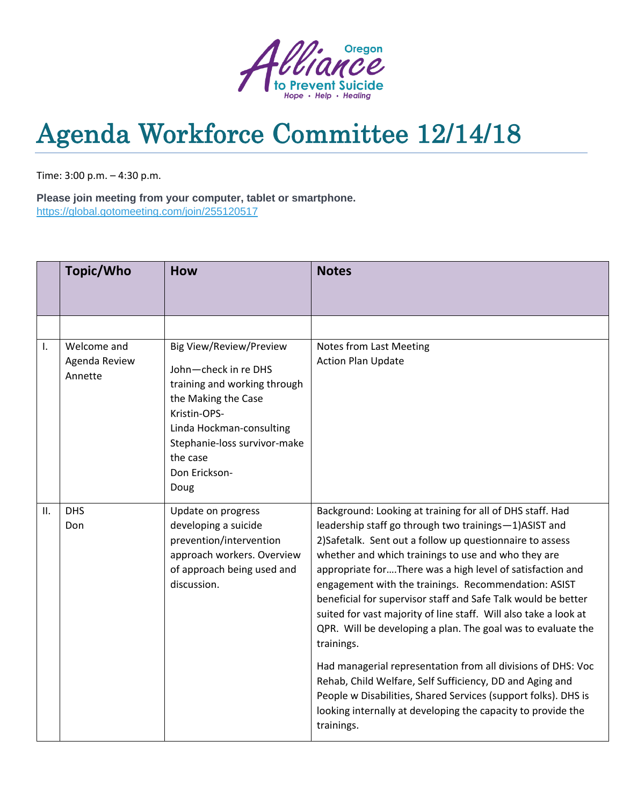

## Agenda Workforce Committee 12/14/18

Time: 3:00 p.m. – 4:30 p.m.

**Please join meeting from your computer, tablet or smartphone.** <https://global.gotomeeting.com/join/255120517>

|                | Topic/Who                               | <b>How</b>                                                                                                                                                                                                                     | <b>Notes</b>                                                                                                                                                                                                                                                                                                                                                                                                                                                                                                                                                                                                                                                                                                                                                                                                                                               |
|----------------|-----------------------------------------|--------------------------------------------------------------------------------------------------------------------------------------------------------------------------------------------------------------------------------|------------------------------------------------------------------------------------------------------------------------------------------------------------------------------------------------------------------------------------------------------------------------------------------------------------------------------------------------------------------------------------------------------------------------------------------------------------------------------------------------------------------------------------------------------------------------------------------------------------------------------------------------------------------------------------------------------------------------------------------------------------------------------------------------------------------------------------------------------------|
|                |                                         |                                                                                                                                                                                                                                |                                                                                                                                                                                                                                                                                                                                                                                                                                                                                                                                                                                                                                                                                                                                                                                                                                                            |
| $\mathbf{I}$ . | Welcome and<br>Agenda Review<br>Annette | <b>Big View/Review/Preview</b><br>John-check in re DHS<br>training and working through<br>the Making the Case<br>Kristin-OPS-<br>Linda Hockman-consulting<br>Stephanie-loss survivor-make<br>the case<br>Don Erickson-<br>Doug | Notes from Last Meeting<br><b>Action Plan Update</b>                                                                                                                                                                                                                                                                                                                                                                                                                                                                                                                                                                                                                                                                                                                                                                                                       |
| II.            | <b>DHS</b><br>Don                       | Update on progress<br>developing a suicide<br>prevention/intervention<br>approach workers. Overview<br>of approach being used and<br>discussion.                                                                               | Background: Looking at training for all of DHS staff. Had<br>leadership staff go through two trainings-1)ASIST and<br>2) Safetalk. Sent out a follow up questionnaire to assess<br>whether and which trainings to use and who they are<br>appropriate forThere was a high level of satisfaction and<br>engagement with the trainings. Recommendation: ASIST<br>beneficial for supervisor staff and Safe Talk would be better<br>suited for vast majority of line staff. Will also take a look at<br>QPR. Will be developing a plan. The goal was to evaluate the<br>trainings.<br>Had managerial representation from all divisions of DHS: Voc<br>Rehab, Child Welfare, Self Sufficiency, DD and Aging and<br>People w Disabilities, Shared Services (support folks). DHS is<br>looking internally at developing the capacity to provide the<br>trainings. |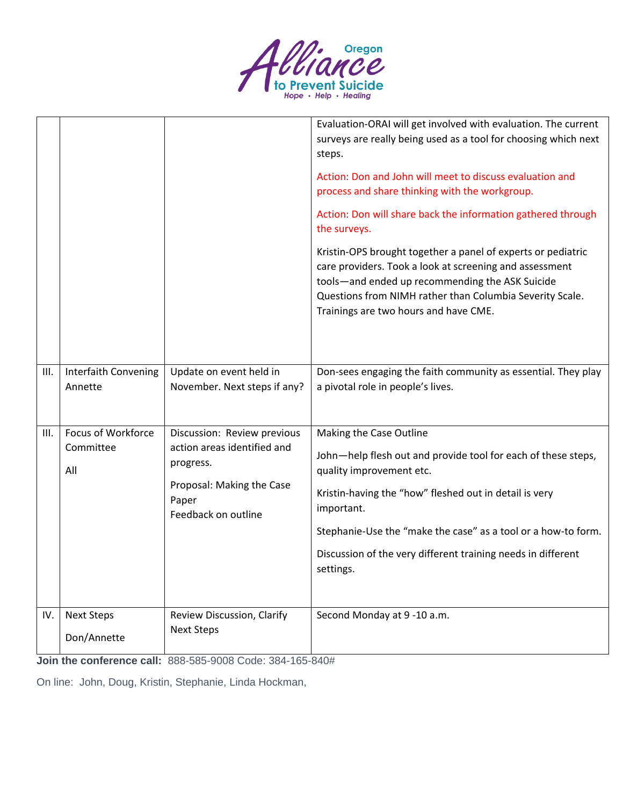

|      |                                 |                                                           | Evaluation-ORAI will get involved with evaluation. The current<br>surveys are really being used as a tool for choosing which next<br>steps.                                                                                                                                     |
|------|---------------------------------|-----------------------------------------------------------|---------------------------------------------------------------------------------------------------------------------------------------------------------------------------------------------------------------------------------------------------------------------------------|
|      |                                 |                                                           | Action: Don and John will meet to discuss evaluation and<br>process and share thinking with the workgroup.                                                                                                                                                                      |
|      |                                 |                                                           | Action: Don will share back the information gathered through<br>the surveys.                                                                                                                                                                                                    |
|      |                                 |                                                           | Kristin-OPS brought together a panel of experts or pediatric<br>care providers. Took a look at screening and assessment<br>tools-and ended up recommending the ASK Suicide<br>Questions from NIMH rather than Columbia Severity Scale.<br>Trainings are two hours and have CME. |
| III. | Interfaith Convening<br>Annette | Update on event held in<br>November. Next steps if any?   | Don-sees engaging the faith community as essential. They play<br>a pivotal role in people's lives.                                                                                                                                                                              |
| III. | Focus of Workforce              | Discussion: Review previous                               | Making the Case Outline                                                                                                                                                                                                                                                         |
|      | Committee<br>All                | action areas identified and<br>progress.                  | John-help flesh out and provide tool for each of these steps,<br>quality improvement etc.                                                                                                                                                                                       |
|      |                                 | Proposal: Making the Case<br>Paper<br>Feedback on outline | Kristin-having the "how" fleshed out in detail is very<br>important.                                                                                                                                                                                                            |
|      |                                 |                                                           | Stephanie-Use the "make the case" as a tool or a how-to form.                                                                                                                                                                                                                   |
|      |                                 |                                                           | Discussion of the very different training needs in different<br>settings.                                                                                                                                                                                                       |
| IV.  | <b>Next Steps</b>               | Review Discussion, Clarify                                | Second Monday at 9-10 a.m.                                                                                                                                                                                                                                                      |
|      | Don/Annette                     | <b>Next Steps</b>                                         |                                                                                                                                                                                                                                                                                 |

**Join the conference call:** 888-585-9008 Code: 384-165-840#

On line: John, Doug, Kristin, Stephanie, Linda Hockman,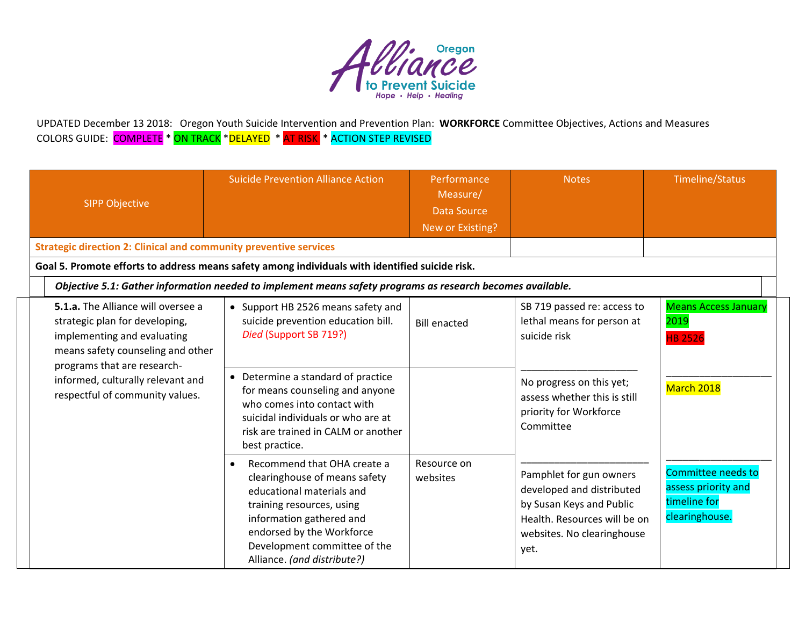

UPDATED December 13 2018: Oregon Youth Suicide Intervention and Prevention Plan: **WORKFORCE** Committee Objectives, Actions and Measures COLORS GUIDE: <mark>COMPLETE</mark> \* <mark>ON TRACK</mark> \*<mark>DELAYED</mark> \* <mark>AT RISK </mark> \* ACTION STEP REVISED

| <b>SIPP Objective</b>                                                                                                                                                          | <b>Suicide Prevention Alliance Action</b>                                                                                                                                                                                                                   | Performance<br>Measure/<br><b>Data Source</b><br>New or Existing? | <b>Notes</b>                                                                                                                                           | <b>Timeline/Status</b>                                                      |
|--------------------------------------------------------------------------------------------------------------------------------------------------------------------------------|-------------------------------------------------------------------------------------------------------------------------------------------------------------------------------------------------------------------------------------------------------------|-------------------------------------------------------------------|--------------------------------------------------------------------------------------------------------------------------------------------------------|-----------------------------------------------------------------------------|
| <b>Strategic direction 2: Clinical and community preventive services</b>                                                                                                       |                                                                                                                                                                                                                                                             |                                                                   |                                                                                                                                                        |                                                                             |
|                                                                                                                                                                                | Goal 5. Promote efforts to address means safety among individuals with identified suicide risk.                                                                                                                                                             |                                                                   |                                                                                                                                                        |                                                                             |
|                                                                                                                                                                                | Objective 5.1: Gather information needed to implement means safety programs as research becomes available.                                                                                                                                                  |                                                                   |                                                                                                                                                        |                                                                             |
| <b>5.1.a.</b> The Alliance will oversee a<br>strategic plan for developing,<br>implementing and evaluating<br>means safety counseling and other<br>programs that are research- | • Support HB 2526 means safety and<br>suicide prevention education bill.<br>Died (Support SB 719?)                                                                                                                                                          | <b>Bill enacted</b>                                               | SB 719 passed re: access to<br>lethal means for person at<br>suicide risk                                                                              | <b>Means Access January</b><br>2019<br><b>HB 2526</b>                       |
| informed, culturally relevant and<br>respectful of community values.                                                                                                           | Determine a standard of practice<br>$\bullet$<br>for means counseling and anyone<br>who comes into contact with<br>suicidal individuals or who are at<br>risk are trained in CALM or another<br>best practice.                                              |                                                                   | No progress on this yet;<br>assess whether this is still<br>priority for Workforce<br>Committee                                                        | March 2018                                                                  |
|                                                                                                                                                                                | Recommend that OHA create a<br>$\bullet$<br>clearinghouse of means safety<br>educational materials and<br>training resources, using<br>information gathered and<br>endorsed by the Workforce<br>Development committee of the<br>Alliance. (and distribute?) | Resource on<br>websites                                           | Pamphlet for gun owners<br>developed and distributed<br>by Susan Keys and Public<br>Health. Resources will be on<br>websites. No clearinghouse<br>yet. | Committee needs to<br>assess priority and<br>timeline for<br>clearinghouse. |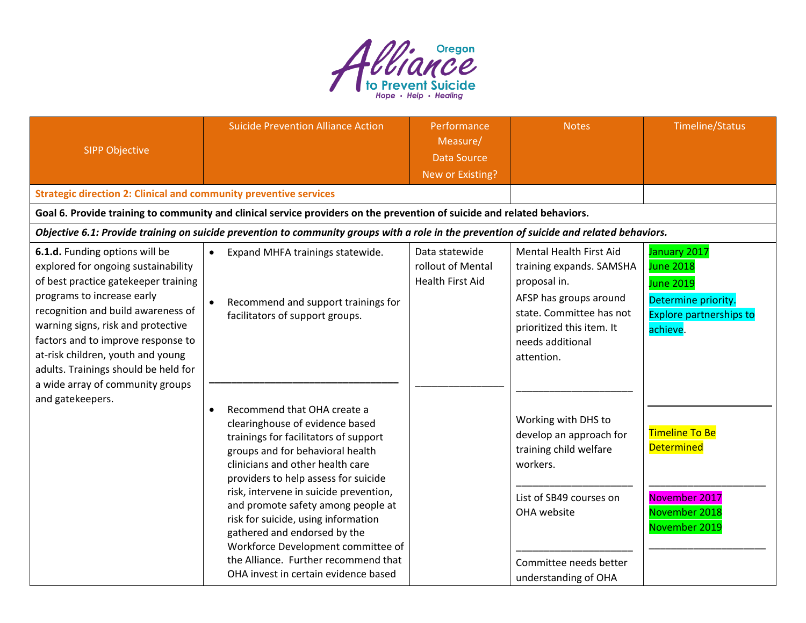

| <b>SIPP Objective</b>                                                                                                                                                                                                                                                                                                                                                          | <b>Suicide Prevention Alliance Action</b>                                                                                                                                                                                                                                                                                                                                                                                                                                                                         | Performance<br>Measure/<br><b>Data Source</b><br>New or Existing? | <b>Notes</b>                                                                                                                                                                             | Timeline/Status                                                                                                           |
|--------------------------------------------------------------------------------------------------------------------------------------------------------------------------------------------------------------------------------------------------------------------------------------------------------------------------------------------------------------------------------|-------------------------------------------------------------------------------------------------------------------------------------------------------------------------------------------------------------------------------------------------------------------------------------------------------------------------------------------------------------------------------------------------------------------------------------------------------------------------------------------------------------------|-------------------------------------------------------------------|------------------------------------------------------------------------------------------------------------------------------------------------------------------------------------------|---------------------------------------------------------------------------------------------------------------------------|
| <b>Strategic direction 2: Clinical and community preventive services</b>                                                                                                                                                                                                                                                                                                       |                                                                                                                                                                                                                                                                                                                                                                                                                                                                                                                   |                                                                   |                                                                                                                                                                                          |                                                                                                                           |
|                                                                                                                                                                                                                                                                                                                                                                                | Goal 6. Provide training to community and clinical service providers on the prevention of suicide and related behaviors.                                                                                                                                                                                                                                                                                                                                                                                          |                                                                   |                                                                                                                                                                                          |                                                                                                                           |
|                                                                                                                                                                                                                                                                                                                                                                                | Objective 6.1: Provide training on suicide prevention to community groups with a role in the prevention of suicide and related behaviors.                                                                                                                                                                                                                                                                                                                                                                         |                                                                   |                                                                                                                                                                                          |                                                                                                                           |
| 6.1.d. Funding options will be<br>explored for ongoing sustainability<br>of best practice gatekeeper training<br>programs to increase early<br>recognition and build awareness of<br>warning signs, risk and protective<br>factors and to improve response to<br>at-risk children, youth and young<br>adults. Trainings should be held for<br>a wide array of community groups | Expand MHFA trainings statewide.<br>$\bullet$<br>Recommend and support trainings for<br>facilitators of support groups.                                                                                                                                                                                                                                                                                                                                                                                           | Data statewide<br>rollout of Mental<br><b>Health First Aid</b>    | Mental Health First Aid<br>training expands. SAMSHA<br>proposal in.<br>AFSP has groups around<br>state. Committee has not<br>prioritized this item. It<br>needs additional<br>attention. | January 2017<br><b>June 2018</b><br><b>June 2019</b><br>Determine priority.<br><b>Explore partnerships to</b><br>achieve. |
| and gatekeepers.                                                                                                                                                                                                                                                                                                                                                               | Recommend that OHA create a<br>$\bullet$<br>clearinghouse of evidence based<br>trainings for facilitators of support<br>groups and for behavioral health<br>clinicians and other health care<br>providers to help assess for suicide<br>risk, intervene in suicide prevention,<br>and promote safety among people at<br>risk for suicide, using information<br>gathered and endorsed by the<br>Workforce Development committee of<br>the Alliance. Further recommend that<br>OHA invest in certain evidence based |                                                                   | Working with DHS to<br>develop an approach for<br>training child welfare<br>workers.<br>List of SB49 courses on<br>OHA website<br>Committee needs better<br>understanding of OHA         | <b>Timeline To Be</b><br><b>Determined</b><br>November 2017<br>November 2018<br>November 2019                             |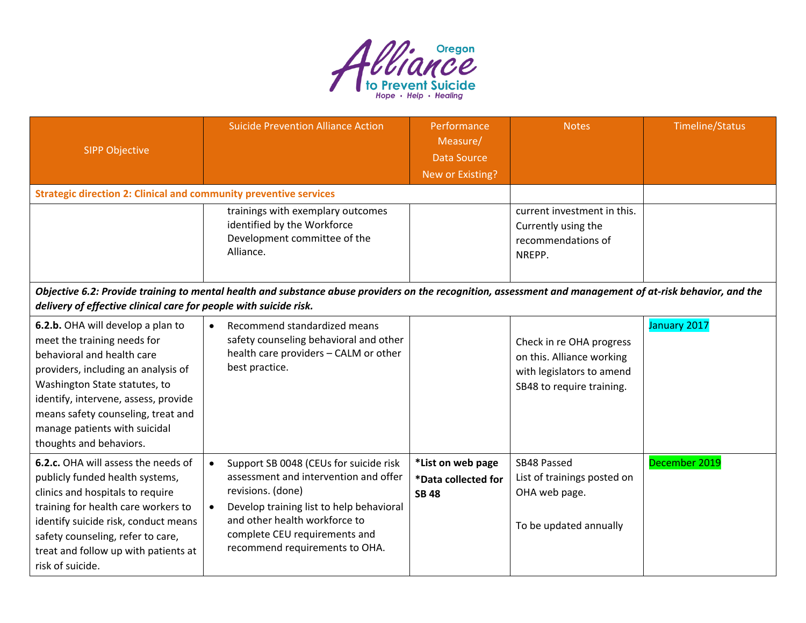

| <b>SIPP Objective</b>                                                                                                                                                                                                                                                                                            | <b>Suicide Prevention Alliance Action</b>                                                                                                                                                                                                                                      | Performance<br>Measure/<br><b>Data Source</b><br>New or Existing? | <b>Notes</b>                                                                                                    | <b>Timeline/Status</b> |  |  |
|------------------------------------------------------------------------------------------------------------------------------------------------------------------------------------------------------------------------------------------------------------------------------------------------------------------|--------------------------------------------------------------------------------------------------------------------------------------------------------------------------------------------------------------------------------------------------------------------------------|-------------------------------------------------------------------|-----------------------------------------------------------------------------------------------------------------|------------------------|--|--|
| <b>Strategic direction 2: Clinical and community preventive services</b>                                                                                                                                                                                                                                         |                                                                                                                                                                                                                                                                                |                                                                   |                                                                                                                 |                        |  |  |
|                                                                                                                                                                                                                                                                                                                  | trainings with exemplary outcomes<br>identified by the Workforce<br>Development committee of the<br>Alliance.                                                                                                                                                                  |                                                                   | current investment in this.<br>Currently using the<br>recommendations of<br>NREPP.                              |                        |  |  |
|                                                                                                                                                                                                                                                                                                                  | Objective 6.2: Provide training to mental health and substance abuse providers on the recognition, assessment and management of at-risk behavior, and the<br>delivery of effective clinical care for people with suicide risk.                                                 |                                                                   |                                                                                                                 |                        |  |  |
| 6.2.b. OHA will develop a plan to<br>meet the training needs for<br>behavioral and health care<br>providers, including an analysis of<br>Washington State statutes, to<br>identify, intervene, assess, provide<br>means safety counseling, treat and<br>manage patients with suicidal<br>thoughts and behaviors. | Recommend standardized means<br>$\bullet$<br>safety counseling behavioral and other<br>health care providers - CALM or other<br>best practice.                                                                                                                                 |                                                                   | Check in re OHA progress<br>on this. Alliance working<br>with legislators to amend<br>SB48 to require training. | January 2017           |  |  |
| 6.2.c. OHA will assess the needs of<br>publicly funded health systems,<br>clinics and hospitals to require<br>training for health care workers to<br>identify suicide risk, conduct means<br>safety counseling, refer to care,<br>treat and follow up with patients at<br>risk of suicide.                       | Support SB 0048 (CEUs for suicide risk<br>$\bullet$<br>assessment and intervention and offer<br>revisions. (done)<br>Develop training list to help behavioral<br>$\bullet$<br>and other health workforce to<br>complete CEU requirements and<br>recommend requirements to OHA. | *List on web page<br>*Data collected for<br><b>SB 48</b>          | SB48 Passed<br>List of trainings posted on<br>OHA web page.<br>To be updated annually                           | December 2019          |  |  |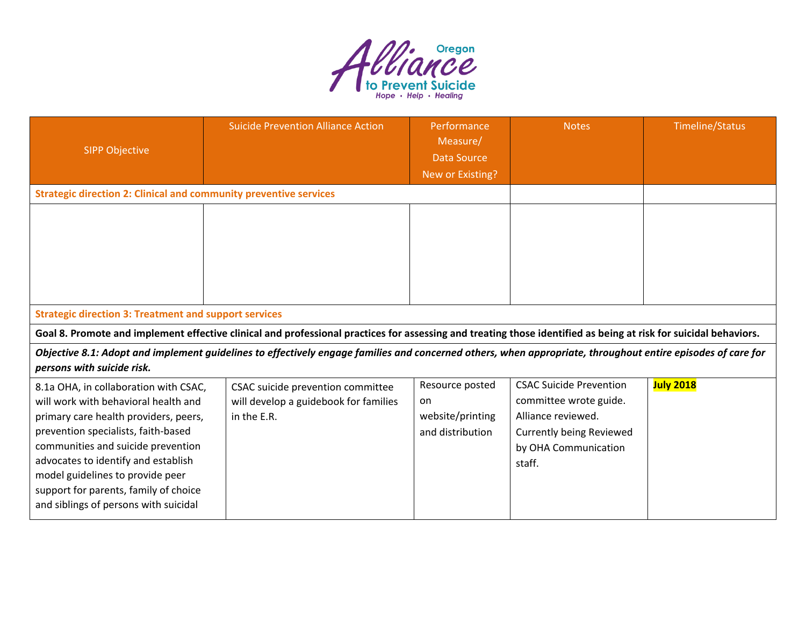

| <b>SIPP Objective</b>                                                                                                                                                                                                                                                                                                                                            | <b>Suicide Prevention Alliance Action</b>                                                                                                                        | Performance<br>Measure/<br><b>Data Source</b><br>New or Existing? | <b>Notes</b>                                                                                                                                        | <b>Timeline/Status</b> |
|------------------------------------------------------------------------------------------------------------------------------------------------------------------------------------------------------------------------------------------------------------------------------------------------------------------------------------------------------------------|------------------------------------------------------------------------------------------------------------------------------------------------------------------|-------------------------------------------------------------------|-----------------------------------------------------------------------------------------------------------------------------------------------------|------------------------|
| <b>Strategic direction 2: Clinical and community preventive services</b>                                                                                                                                                                                                                                                                                         |                                                                                                                                                                  |                                                                   |                                                                                                                                                     |                        |
| <b>Strategic direction 3: Treatment and support services</b>                                                                                                                                                                                                                                                                                                     | Goal 8. Promote and implement effective clinical and professional practices for assessing and treating those identified as being at risk for suicidal behaviors. |                                                                   |                                                                                                                                                     |                        |
|                                                                                                                                                                                                                                                                                                                                                                  | Objective 8.1: Adopt and implement guidelines to effectively engage families and concerned others, when appropriate, throughout entire episodes of care for      |                                                                   |                                                                                                                                                     |                        |
| persons with suicide risk.                                                                                                                                                                                                                                                                                                                                       |                                                                                                                                                                  |                                                                   |                                                                                                                                                     |                        |
| 8.1a OHA, in collaboration with CSAC,<br>will work with behavioral health and<br>primary care health providers, peers,<br>prevention specialists, faith-based<br>communities and suicide prevention<br>advocates to identify and establish<br>model guidelines to provide peer<br>support for parents, family of choice<br>and siblings of persons with suicidal | CSAC suicide prevention committee<br>will develop a guidebook for families<br>in the E.R.                                                                        | Resource posted<br>on<br>website/printing<br>and distribution     | <b>CSAC Suicide Prevention</b><br>committee wrote guide.<br>Alliance reviewed.<br><b>Currently being Reviewed</b><br>by OHA Communication<br>staff. | <b>July 2018</b>       |